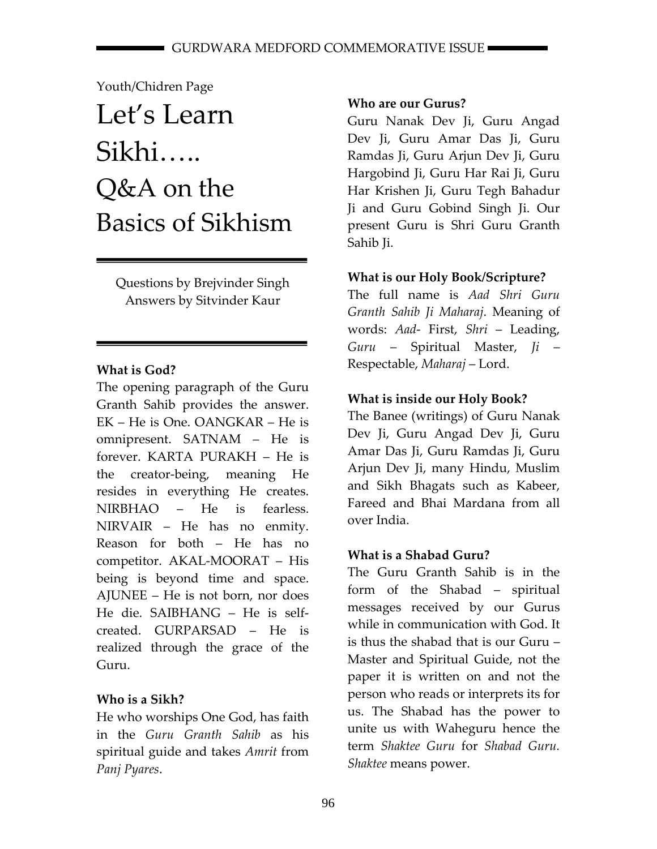# Youth/Chidren Page

# Let's Learn Sikhi….. Q&A on the Basics of Sikhism

Questions by Brejvinder Singh Answers by Sitvinder Kaur

# **What is God?**

The opening paragraph of the Guru Granth Sahib provides the answer. EK – He is One. OANGKAR – He is omnipresent. SATNAM – He is forever. KARTA PURAKH – He is the creator‐being, meaning He resides in everything He creates. NIRBHAO – He is fearless. NIRVAIR – He has no enmity. Reason for both – He has no competitor. AKAL‐MOORAT – His being is beyond time and space. AJUNEE – He is not born, nor does He die. SAIBHANG – He is self‐ created. GURPARSAD – He is realized through the grace of the Guru.

# **Who is a Sikh?**

He who worships One God, has faith in the *Guru Granth Sahib* as his spiritual guide and takes *Amrit* from *Panj Pyares*.

# **Who are our Gurus?**

Guru Nanak Dev Ji, Guru Angad Dev Ji, Guru Amar Das Ji, Guru Ramdas Ji, Guru Arjun Dev Ji, Guru Hargobind Ji, Guru Har Rai Ji, Guru Har Krishen Ji, Guru Tegh Bahadur Ji and Guru Gobind Singh Ji. Our present Guru is Shri Guru Granth Sahib Ji.

# **What is our Holy Book/Scripture?**

The full name is *Aad Shri Guru Granth Sahib Ji Maharaj*. Meaning of words: *Aad*‐ First, *Shri* – Leading, *Guru* – Spiritual Master, *Ji* – Respectable, *Maharaj* – Lord.

# **What is inside our Holy Book?**

The Banee (writings) of Guru Nanak Dev Ji, Guru Angad Dev Ji, Guru Amar Das Ji, Guru Ramdas Ji, Guru Arjun Dev Ji, many Hindu, Muslim and Sikh Bhagats such as Kabeer, Fareed and Bhai Mardana from all over India.

# **What is a Shabad Guru?**

The Guru Granth Sahib is in the form of the Shabad – spiritual messages received by our Gurus while in communication with God. It is thus the shabad that is our Guru – Master and Spiritual Guide, not the paper it is written on and not the person who reads or interprets its for us. The Shabad has the power to unite us with Waheguru hence the term *Shaktee Guru* for *Shabad Guru. Shaktee* means power.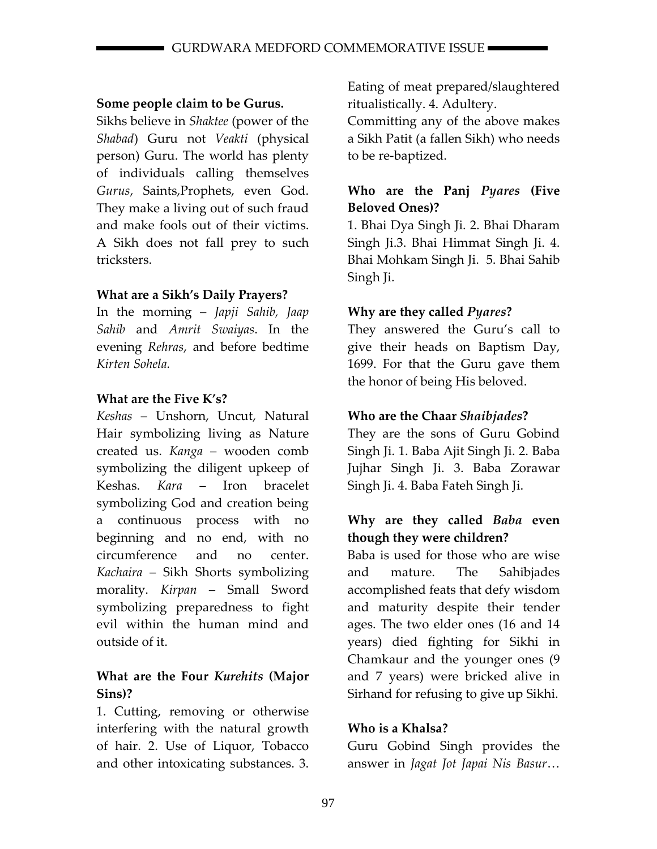#### **Some people claim to be Gurus.**

Sikhs believe in *Shaktee* (power of the *Shabad*) Guru not *Veakti* (physical person) Guru. The world has plenty of individuals calling themselves *Gurus*, Saints,Prophets, even God. They make a living out of such fraud and make fools out of their victims. A Sikh does not fall prey to such tricksters.

#### **What are a Sikh's Daily Prayers?**

In the morning – *Japji Sahib, Jaap Sahib* and *Amrit Swaiyas*. In the evening *Rehras*, and before bedtime *Kirten Sohela.* 

#### **What are the Five K's?**

*Keshas* – Unshorn, Uncut, Natural Hair symbolizing living as Nature created us. *Kanga* – wooden comb symbolizing the diligent upkeep of Keshas. *Kara* – Iron bracelet symbolizing God and creation being a continuous process with no beginning and no end, with no circumference and no center. *Kachaira* – Sikh Shorts symbolizing morality. *Kirpan* – Small Sword symbolizing preparedness to fight evil within the human mind and outside of it.

#### **What are the Four** *Kurehits* **(Major Sins)?**

1. Cutting, removing or otherwise interfering with the natural growth of hair. 2. Use of Liquor, Tobacco and other intoxicating substances. 3. Eating of meat prepared/slaughtered ritualistically. 4. Adultery.

Committing any of the above makes a Sikh Patit (a fallen Sikh) who needs to be re‐baptized.

#### **Who are the Panj** *Pyares* **(Five Beloved Ones)?**

1. Bhai Dya Singh Ji. 2. Bhai Dharam Singh Ji.3. Bhai Himmat Singh Ji. 4. Bhai Mohkam Singh Ji. 5. Bhai Sahib Singh Ji.

#### **Why are they called** *Pyares***?**

They answered the Guru's call to give their heads on Baptism Day, 1699. For that the Guru gave them the honor of being His beloved.

#### **Who are the Chaar** *Shaibjades***?**

They are the sons of Guru Gobind Singh Ji. 1. Baba Ajit Singh Ji. 2. Baba Jujhar Singh Ji. 3. Baba Zorawar Singh Ji. 4. Baba Fateh Singh Ji.

## **Why are they called** *Baba* **even though they were children?**

Baba is used for those who are wise and mature. The Sahibjades accomplished feats that defy wisdom and maturity despite their tender ages. The two elder ones (16 and 14 years) died fighting for Sikhi in Chamkaur and the younger ones (9 and 7 years) were bricked alive in Sirhand for refusing to give up Sikhi.

#### **Who is a Khalsa?**

Guru Gobind Singh provides the answer in *Jagat Jot Japai Nis Basur*…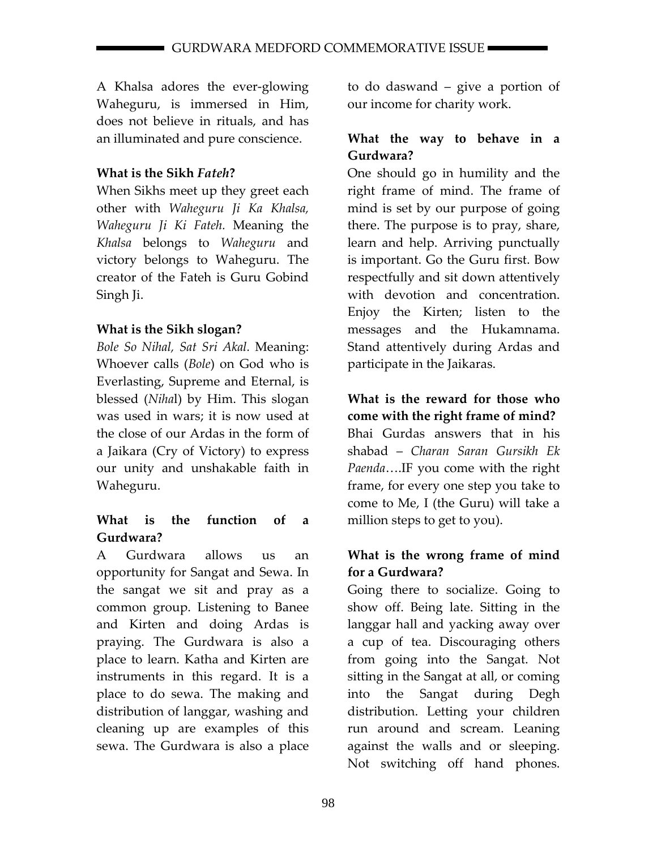A Khalsa adores the ever‐glowing Waheguru, is immersed in Him, does not believe in rituals, and has an illuminated and pure conscience.

## **What is the Sikh** *Fateh***?**

When Sikhs meet up they greet each other with *Waheguru Ji Ka Khalsa, Waheguru Ji Ki Fateh.* Meaning the *Khalsa* belongs to *Waheguru* and victory belongs to Waheguru. The creator of the Fateh is Guru Gobind Singh Ji.

## **What is the Sikh slogan?**

*Bole So Nihal, Sat Sri Akal.* Meaning: Whoever calls (*Bole*) on God who is Everlasting, Supreme and Eternal, is blessed (*Niha*l) by Him. This slogan was used in wars; it is now used at the close of our Ardas in the form of a Jaikara (Cry of Victory) to express our unity and unshakable faith in Waheguru.

## **What is the function of a Gurdwara?**

A Gurdwara allows us an opportunity for Sangat and Sewa. In the sangat we sit and pray as a common group. Listening to Banee and Kirten and doing Ardas is praying. The Gurdwara is also a place to learn. Katha and Kirten are instruments in this regard. It is a place to do sewa. The making and distribution of langgar, washing and cleaning up are examples of this sewa. The Gurdwara is also a place to do daswand – give a portion of our income for charity work.

## **What the way to behave in a Gurdwara?**

One should go in humility and the right frame of mind. The frame of mind is set by our purpose of going there. The purpose is to pray, share, learn and help. Arriving punctually is important. Go the Guru first. Bow respectfully and sit down attentively with devotion and concentration. Enjoy the Kirten; listen to the messages and the Hukamnama. Stand attentively during Ardas and participate in the Jaikaras.

# **What is the reward for those who come with the right frame of mind?**

Bhai Gurdas answers that in his shabad – *Charan Saran Gursikh Ek Paenda*….IF you come with the right frame, for every one step you take to come to Me, I (the Guru) will take a million steps to get to you).

#### **What is the wrong frame of mind for a Gurdwara?**

Going there to socialize. Going to show off. Being late. Sitting in the langgar hall and yacking away over a cup of tea. Discouraging others from going into the Sangat. Not sitting in the Sangat at all, or coming into the Sangat during Degh distribution. Letting your children run around and scream. Leaning against the walls and or sleeping. Not switching off hand phones.